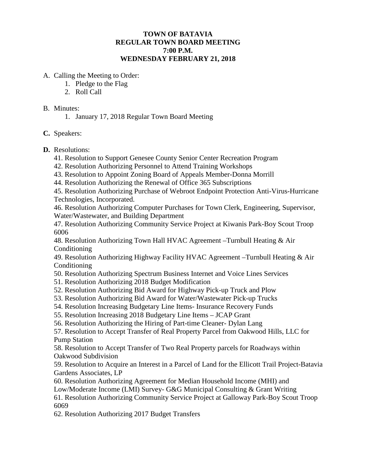# **TOWN OF BATAVIA REGULAR TOWN BOARD MEETING 7:00 P.M. WEDNESDAY FEBRUARY 21, 2018**

- A. Calling the Meeting to Order:
	- 1. Pledge to the Flag
	- 2. Roll Call

#### B. Minutes:

1. January 17, 2018 Regular Town Board Meeting

# **C.** Speakers:

### **D.** Resolutions:

- 41. Resolution to Support Genesee County Senior Center Recreation Program
- 42. Resolution Authorizing Personnel to Attend Training Workshops
- 43. Resolution to Appoint Zoning Board of Appeals Member-Donna Morrill
- 44. Resolution Authorizing the Renewal of Office 365 Subscriptions

45. Resolution Authorizing Purchase of Webroot Endpoint Protection Anti-Virus-Hurricane Technologies, Incorporated.

46. Resolution Authorizing Computer Purchases for Town Clerk, Engineering, Supervisor, Water/Wastewater, and Building Department

47. Resolution Authorizing Community Service Project at Kiwanis Park-Boy Scout Troop 6006

48. Resolution Authorizing Town Hall HVAC Agreement –Turnbull Heating & Air Conditioning

49. Resolution Authorizing Highway Facility HVAC Agreement –Turnbull Heating & Air Conditioning

- 50. Resolution Authorizing Spectrum Business Internet and Voice Lines Services
- 51. Resolution Authorizing 2018 Budget Modification
- 52. Resolution Authorizing Bid Award for Highway Pick-up Truck and Plow
- 53. Resolution Authorizing Bid Award for Water/Wastewater Pick-up Trucks
- 54. Resolution Increasing Budgetary Line Items- Insurance Recovery Funds

55. Resolution Increasing 2018 Budgetary Line Items – JCAP Grant

56. Resolution Authorizing the Hiring of Part-time Cleaner- Dylan Lang

57. Resolution to Accept Transfer of Real Property Parcel from Oakwood Hills, LLC for Pump Station

58. Resolution to Accept Transfer of Two Real Property parcels for Roadways within Oakwood Subdivision

59. Resolution to Acquire an Interest in a Parcel of Land for the Ellicott Trail Project-Batavia Gardens Associates, LP

60. Resolution Authorizing Agreement for Median Household Income (MHI) and

Low/Moderate Income (LMI) Survey- G&G Municipal Consulting & Grant Writing

61. Resolution Authorizing Community Service Project at Galloway Park-Boy Scout Troop 6069

62. Resolution Authorizing 2017 Budget Transfers